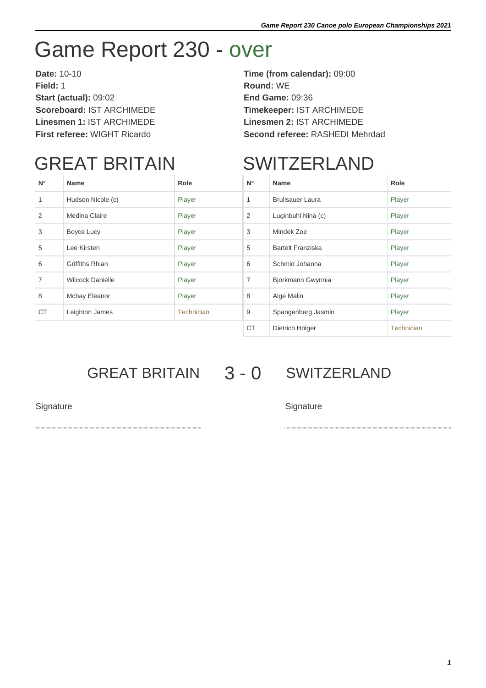## Game Report 230 - over

**Date:** 10-10 **Time (from calendar):** 09:00 **Field:** 1 **Round:** WE **Start (actual):** 09:02 **End Game:** 09:36 **Scoreboard:** IST ARCHIMEDE **Timekeeper:** IST ARCHIMEDE **Linesmen 1:** IST ARCHIMEDE **Linesmen 2:** IST ARCHIMEDE

**First referee:** WIGHT Ricardo **Second referee:** RASHEDI Mehrdad

## GREAT BRITAIN

## SWITZERLAND

| $N^{\circ}$    | <b>Name</b>             | Role              | $N^{\circ}$    | <b>Name</b>              | Role       |
|----------------|-------------------------|-------------------|----------------|--------------------------|------------|
|                | Hudson Nicole (c)       | Player            | $\mathbf{1}$   | <b>Brulisauer Laura</b>  | Player     |
| 2              | Medina Claire           | Player            | 2              | Luginbuhl Nina (c)       | Player     |
| 3              | Boyce Lucy              | Player            | 3              | Mindek Zoe               | Player     |
| 5              | Lee Kirsten             | Player            | 5              | <b>Bartelt Franziska</b> | Player     |
| 6              | Griffiths Rhian         | Player            | 6              | Schmid Johanna           | Player     |
| $\overline{7}$ | <b>Wilcock Danielle</b> | Player            | $\overline{7}$ | Bjorkmann Gwynnia        | Player     |
| 8              | Mcbay Eleanor           | Player            | 8              | Alge Malin               | Player     |
| <b>CT</b>      | Leighton James          | <b>Technician</b> | 9              | Spangenberg Jasmin       | Player     |
|                |                         |                   | <b>CT</b>      | Dietrich Holger          | Technician |

GREAT BRITAIN 3 - 0 SWITZERLAND

Signature Signature Signature Signature Signature Signature Signature Signature Signature Signature Signature Signature Signature Signature Signature Signature Signature Signature Signature Signature Signature Signature Si